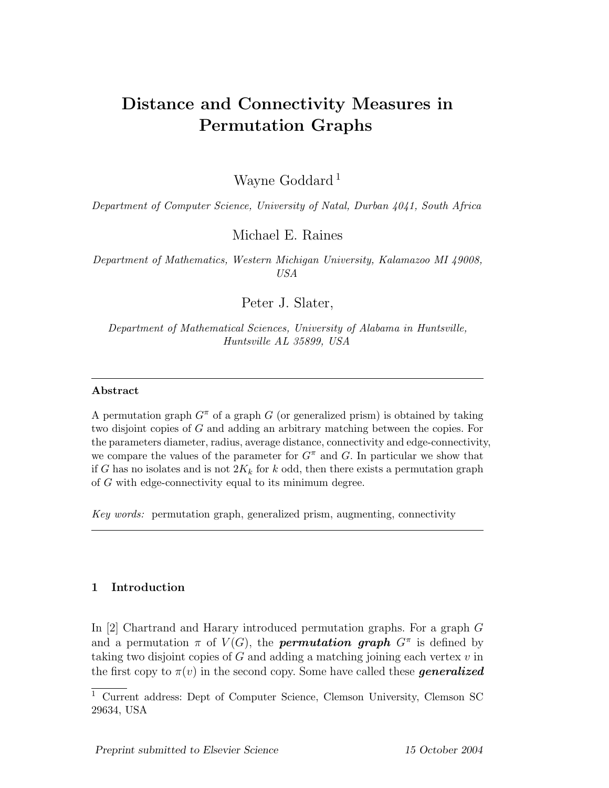# Distance and Connectivity Measures in Permutation Graphs

Wayne Goddard<sup>1</sup>

Department of Computer Science, University of Natal, Durban 4041, South Africa

Michael E. Raines

Department of Mathematics, Western Michigan University, Kalamazoo MI 49008, USA

Peter J. Slater,

Department of Mathematical Sciences, University of Alabama in Huntsville, Huntsville AL 35899, USA

## Abstract

A permutation graph  $G^{\pi}$  of a graph G (or generalized prism) is obtained by taking two disjoint copies of G and adding an arbitrary matching between the copies. For the parameters diameter, radius, average distance, connectivity and edge-connectivity, we compare the values of the parameter for  $G^{\pi}$  and G. In particular we show that if G has no isolates and is not  $2K_k$  for k odd, then there exists a permutation graph of G with edge-connectivity equal to its minimum degree.

Key words: permutation graph, generalized prism, augmenting, connectivity

# 1 Introduction

In [2] Chartrand and Harary introduced permutation graphs. For a graph G and a permutation  $\pi$  of  $V(G)$ , the **permutation graph**  $G^{\pi}$  is defined by taking two disjoint copies of  $G$  and adding a matching joining each vertex  $v$  in the first copy to  $\pi(v)$  in the second copy. Some have called these **generalized** 

<sup>1</sup> Current address: Dept of Computer Science, Clemson University, Clemson SC 29634, USA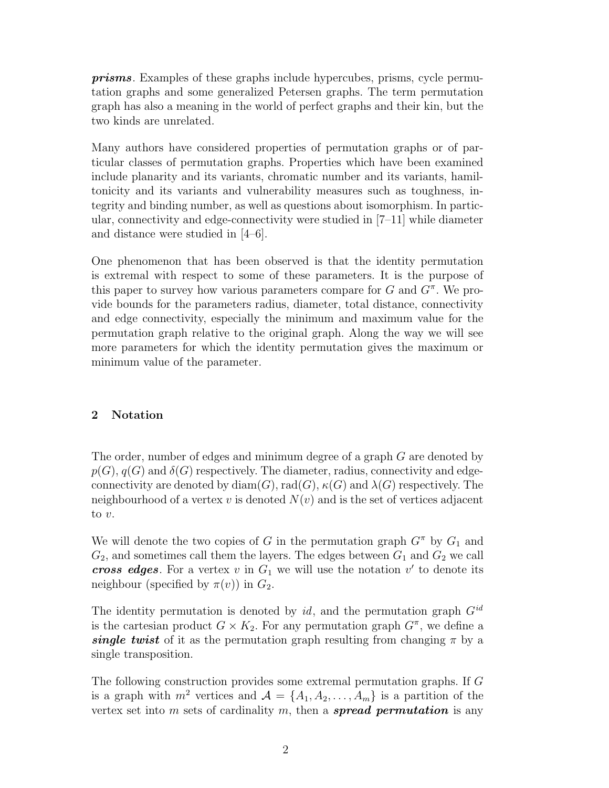prisms. Examples of these graphs include hypercubes, prisms, cycle permutation graphs and some generalized Petersen graphs. The term permutation graph has also a meaning in the world of perfect graphs and their kin, but the two kinds are unrelated.

Many authors have considered properties of permutation graphs or of particular classes of permutation graphs. Properties which have been examined include planarity and its variants, chromatic number and its variants, hamiltonicity and its variants and vulnerability measures such as toughness, integrity and binding number, as well as questions about isomorphism. In particular, connectivity and edge-connectivity were studied in [7–11] while diameter and distance were studied in [4–6].

One phenomenon that has been observed is that the identity permutation is extremal with respect to some of these parameters. It is the purpose of this paper to survey how various parameters compare for  $G$  and  $G^{\pi}$ . We provide bounds for the parameters radius, diameter, total distance, connectivity and edge connectivity, especially the minimum and maximum value for the permutation graph relative to the original graph. Along the way we will see more parameters for which the identity permutation gives the maximum or minimum value of the parameter.

# 2 Notation

The order, number of edges and minimum degree of a graph G are denoted by  $p(G), q(G)$  and  $\delta(G)$  respectively. The diameter, radius, connectivity and edgeconnectivity are denoted by  $\text{diam}(G)$ ,  $\text{rad}(G)$ ,  $\kappa(G)$  and  $\lambda(G)$  respectively. The neighbourhood of a vertex v is denoted  $N(v)$  and is the set of vertices adjacent to v.

We will denote the two copies of G in the permutation graph  $G^{\pi}$  by  $G_1$  and  $G_2$ , and sometimes call them the layers. The edges between  $G_1$  and  $G_2$  we call cross edges. For a vertex v in  $G_1$  we will use the notation v' to denote its neighbour (specified by  $\pi(v)$ ) in  $G_2$ .

The identity permutation is denoted by id, and the permutation graph  $G^{id}$ is the cartesian product  $G \times K_2$ . For any permutation graph  $G^{\pi}$ , we define a single twist of it as the permutation graph resulting from changing  $\pi$  by a single transposition.

The following construction provides some extremal permutation graphs. If G is a graph with  $m^2$  vertices and  $\mathcal{A} = \{A_1, A_2, \ldots, A_m\}$  is a partition of the vertex set into m sets of cardinality m, then a **spread permutation** is any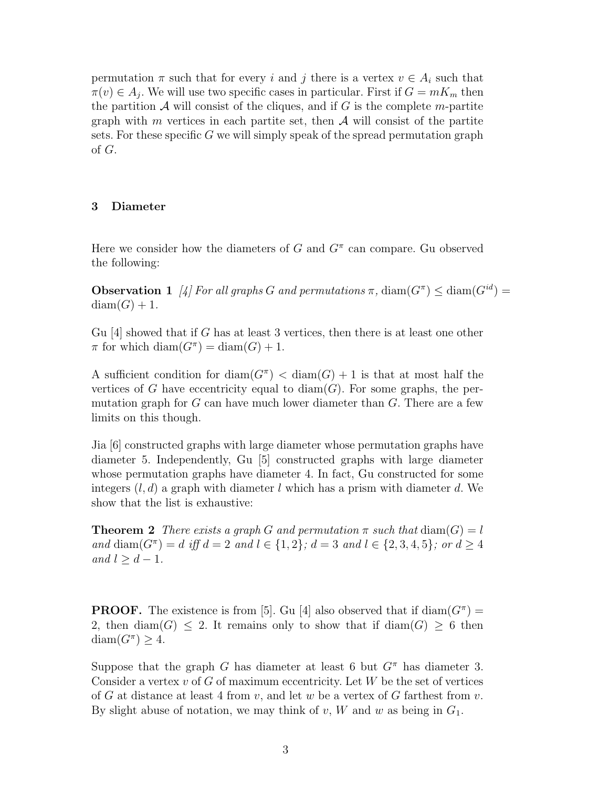permutation  $\pi$  such that for every i and j there is a vertex  $v \in A_i$  such that  $\pi(v) \in A_j$ . We will use two specific cases in particular. First if  $G = mK_m$  then the partition  $\mathcal A$  will consist of the cliques, and if G is the complete m-partite graph with m vertices in each partite set, then  $\mathcal A$  will consist of the partite sets. For these specific G we will simply speak of the spread permutation graph of G.

# 3 Diameter

Here we consider how the diameters of  $G$  and  $G^{\pi}$  can compare. Gu observed the following:

**Observation 1** [4] For all graphs G and permutations  $\pi$ ,  $\text{diam}(G^{\pi}) \leq \text{diam}(G^{id})$  $diam(G) + 1.$ 

Gu [4] showed that if G has at least 3 vertices, then there is at least one other  $\pi$  for which diam $(G^{\pi}) = \text{diam}(G) + 1$ .

A sufficient condition for  $\text{diam}(G^{\pi}) < \text{diam}(G) + 1$  is that at most half the vertices of G have eccentricity equal to  $\text{diam}(G)$ . For some graphs, the permutation graph for  $G$  can have much lower diameter than  $G$ . There are a few limits on this though.

Jia [6] constructed graphs with large diameter whose permutation graphs have diameter 5. Independently, Gu [5] constructed graphs with large diameter whose permutation graphs have diameter 4. In fact, Gu constructed for some integers  $(l, d)$  a graph with diameter l which has a prism with diameter d. We show that the list is exhaustive:

**Theorem 2** There exists a graph G and permutation  $\pi$  such that  $\text{diam}(G) = l$ and diam( $G^{\pi}$ ) = d iff  $d = 2$  and  $l \in \{1, 2\}$ ;  $d = 3$  and  $l \in \{2, 3, 4, 5\}$ ; or  $d \geq 4$ and  $l \geq d-1$ .

**PROOF.** The existence is from [5]. Gu [4] also observed that if  $\text{diam}(G^{\pi}) =$ 2, then  $\text{diam}(G) \leq 2$ . It remains only to show that if  $\text{diam}(G) \geq 6$  then  $\text{diam}(G^{\pi}) \geq 4.$ 

Suppose that the graph G has diameter at least 6 but  $G^{\pi}$  has diameter 3. Consider a vertex  $v$  of G of maximum eccentricity. Let  $W$  be the set of vertices of G at distance at least 4 from v, and let w be a vertex of G farthest from v. By slight abuse of notation, we may think of  $v, W$  and  $w$  as being in  $G_1$ .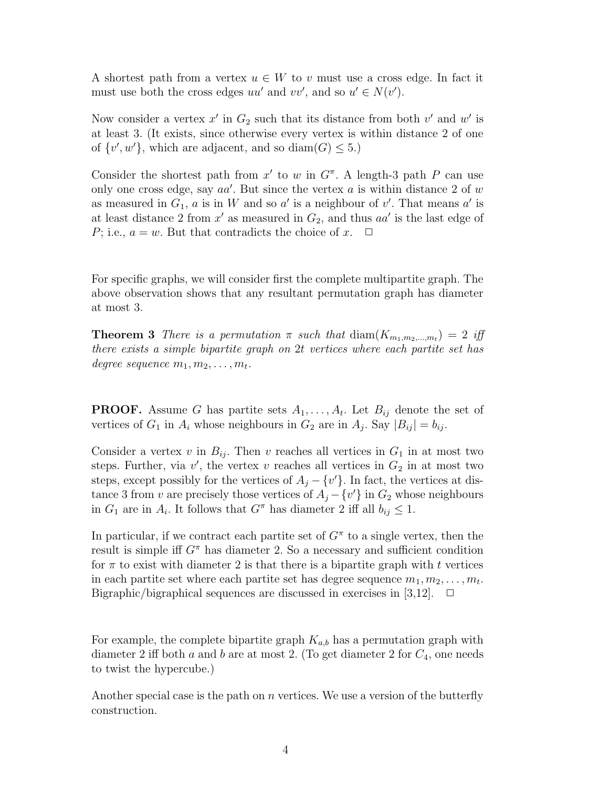A shortest path from a vertex  $u \in W$  to v must use a cross edge. In fact it must use both the cross edges  $uu'$  and  $vv'$ , and so  $u' \in N(v')$ .

Now consider a vertex  $x'$  in  $G_2$  such that its distance from both  $v'$  and  $w'$  is at least 3. (It exists, since otherwise every vertex is within distance 2 of one of  $\{v', w'\}$ , which are adjacent, and so diam( $G$ )  $\leq 5$ .)

Consider the shortest path from  $x'$  to w in  $G^{\pi}$ . A length-3 path P can use only one cross edge, say  $aa'$ . But since the vertex a is within distance 2 of w as measured in  $G_1$ , a is in W and so a' is a neighbour of v'. That means a' is at least distance 2 from  $x'$  as measured in  $G_2$ , and thus  $aa'$  is the last edge of P; i.e.,  $a = w$ . But that contradicts the choice of x.  $\Box$ 

For specific graphs, we will consider first the complete multipartite graph. The above observation shows that any resultant permutation graph has diameter at most 3.

**Theorem 3** There is a permutation  $\pi$  such that  $\dim(K_{m_1,m_2,...,m_t}) = 2$  iff there exists a simple bipartite graph on 2t vertices where each partite set has degree sequence  $m_1, m_2, \ldots, m_t$ .

**PROOF.** Assume G has partite sets  $A_1, \ldots, A_t$ . Let  $B_{ij}$  denote the set of vertices of  $G_1$  in  $A_i$  whose neighbours in  $G_2$  are in  $A_j$ . Say  $|B_{ij}| = b_{ij}$ .

Consider a vertex v in  $B_{ij}$ . Then v reaches all vertices in  $G_1$  in at most two steps. Further, via  $v'$ , the vertex v reaches all vertices in  $G_2$  in at most two steps, except possibly for the vertices of  $A_j - \{v'\}$ . In fact, the vertices at distance 3 from v are precisely those vertices of  $A_j - \{v'\}$  in  $G_2$  whose neighbours in  $G_1$  are in  $A_i$ . It follows that  $G^{\pi}$  has diameter 2 iff all  $b_{ij} \leq 1$ .

In particular, if we contract each partite set of  $G^{\pi}$  to a single vertex, then the result is simple iff  $G^{\pi}$  has diameter 2. So a necessary and sufficient condition for  $\pi$  to exist with diameter 2 is that there is a bipartite graph with t vertices in each partite set where each partite set has degree sequence  $m_1, m_2, \ldots, m_t$ . Bigraphic/bigraphical sequences are discussed in exercises in [3,12].  $\Box$ 

For example, the complete bipartite graph  $K_{a,b}$  has a permutation graph with diameter 2 iff both a and b are at most 2. (To get diameter 2 for  $C_4$ , one needs to twist the hypercube.)

Another special case is the path on  $n$  vertices. We use a version of the butterfly construction.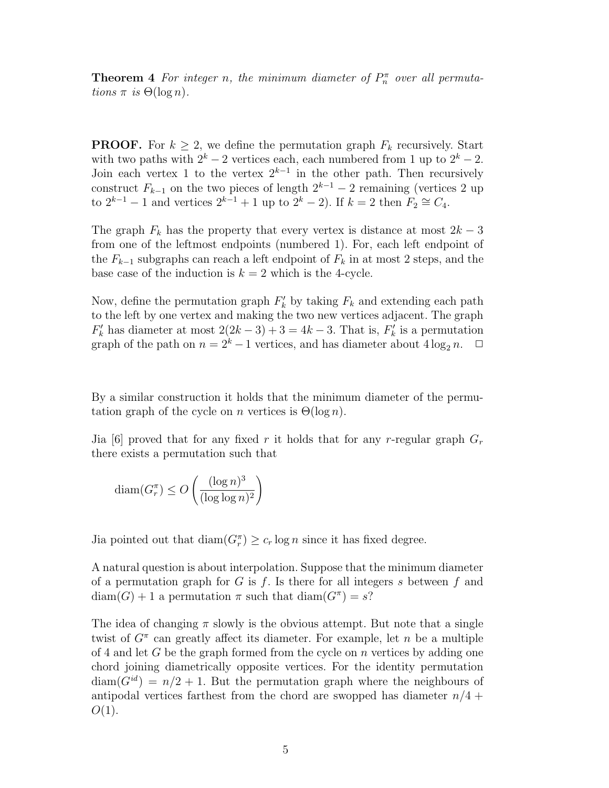**Theorem 4** For integer n, the minimum diameter of  $P_n^{\pi}$  over all permutations  $\pi$  is  $\Theta(\log n)$ .

**PROOF.** For  $k \geq 2$ , we define the permutation graph  $F_k$  recursively. Start with two paths with  $2^k - 2$  vertices each, each numbered from 1 up to  $2^k - 2$ . Join each vertex 1 to the vertex  $2^{k-1}$  in the other path. Then recursively construct  $F_{k-1}$  on the two pieces of length  $2^{k-1} - 2$  remaining (vertices 2 up to  $2^{k-1} - 1$  and vertices  $2^{k-1} + 1$  up to  $2^k - 2$ ). If  $k = 2$  then  $F_2 \cong C_4$ .

The graph  $F_k$  has the property that every vertex is distance at most  $2k - 3$ from one of the leftmost endpoints (numbered 1). For, each left endpoint of the  $F_{k-1}$  subgraphs can reach a left endpoint of  $F_k$  in at most 2 steps, and the base case of the induction is  $k = 2$  which is the 4-cycle.

Now, define the permutation graph  $F'_{k}$  by taking  $F_{k}$  and extending each path to the left by one vertex and making the two new vertices adjacent. The graph  $F'_k$  has diameter at most  $2(2k-3)+3=4k-3$ . That is,  $F'_k$  $\frac{b'}{k}$  is a permutation graph of the path on  $n = 2^k - 1$  vertices, and has diameter about  $4 \log_2 n$ .  $\Box$ 

By a similar construction it holds that the minimum diameter of the permutation graph of the cycle on n vertices is  $\Theta(\log n)$ .

Jia [6] proved that for any fixed r it holds that for any r-regular graph  $G_r$ there exists a permutation such that

$$
\text{diam}(G_r^{\pi}) \le O\left(\frac{(\log n)^3}{(\log \log n)^2}\right)
$$

Jia pointed out that  $\text{diam}(G_r^{\pi}) \geq c_r \log n$  since it has fixed degree.

A natural question is about interpolation. Suppose that the minimum diameter of a permutation graph for G is f. Is there for all integers s between f and  $diam(G) + 1$  a permutation  $\pi$  such that  $diam(G^{\pi}) = s$ ?

The idea of changing  $\pi$  slowly is the obvious attempt. But note that a single twist of  $G^{\pi}$  can greatly affect its diameter. For example, let n be a multiple of 4 and let G be the graph formed from the cycle on n vertices by adding one chord joining diametrically opposite vertices. For the identity permutation  $diam(G^{id}) = n/2 + 1$ . But the permutation graph where the neighbours of antipodal vertices farthest from the chord are swopped has diameter  $n/4 +$  $O(1)$ .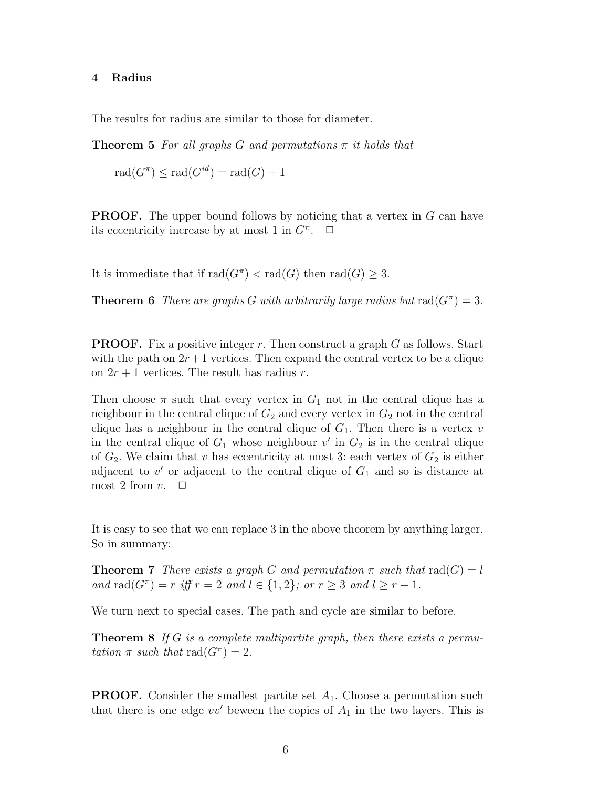## 4 Radius

The results for radius are similar to those for diameter.

**Theorem 5** For all graphs G and permutations  $\pi$  it holds that

$$
rad(G^{\pi}) \le rad(G^{id}) = rad(G) + 1
$$

**PROOF.** The upper bound follows by noticing that a vertex in G can have its eccentricity increase by at most 1 in  $G^{\pi}$ .  $\Box$ 

It is immediate that if  $rad(G^{\pi}) < rad(G)$  then  $rad(G) \geq 3$ .

**Theorem 6** There are graphs G with arbitrarily large radius but  $\text{rad}(G^{\pi}) = 3$ .

**PROOF.** Fix a positive integer r. Then construct a graph G as follows. Start with the path on  $2r+1$  vertices. Then expand the central vertex to be a clique on  $2r + 1$  vertices. The result has radius r.

Then choose  $\pi$  such that every vertex in  $G_1$  not in the central clique has a neighbour in the central clique of  $G_2$  and every vertex in  $G_2$  not in the central clique has a neighbour in the central clique of  $G_1$ . Then there is a vertex v in the central clique of  $G_1$  whose neighbour v' in  $G_2$  is in the central clique of  $G_2$ . We claim that v has eccentricity at most 3: each vertex of  $G_2$  is either adjacent to  $v'$  or adjacent to the central clique of  $G_1$  and so is distance at most 2 from  $v$ .  $\Box$ 

It is easy to see that we can replace 3 in the above theorem by anything larger. So in summary:

**Theorem 7** There exists a graph G and permutation  $\pi$  such that  $\text{rad}(G) = l$ and rad( $G^{\pi}$ ) = r iff r = 2 and  $l \in \{1,2\}$ ; or  $r \geq 3$  and  $l \geq r - 1$ .

We turn next to special cases. The path and cycle are similar to before.

**Theorem 8** If G is a complete multipartite graph, then there exists a permutation  $\pi$  such that  $\text{rad}(G^{\pi}) = 2$ .

**PROOF.** Consider the smallest partite set  $A_1$ . Choose a permutation such that there is one edge  $vv'$  beween the copies of  $A_1$  in the two layers. This is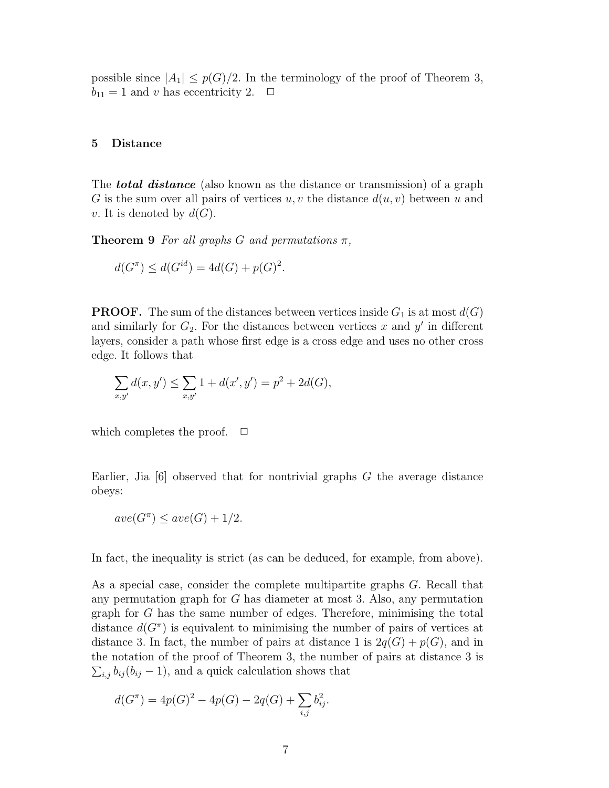possible since  $|A_1| \leq p(G)/2$ . In the terminology of the proof of Theorem 3,  $b_{11} = 1$  and v has eccentricity 2.  $\Box$ 

#### 5 Distance

The **total distance** (also known as the distance or transmission) of a graph G is the sum over all pairs of vertices  $u, v$  the distance  $d(u, v)$  between u and v. It is denoted by  $d(G)$ .

**Theorem 9** For all graphs G and permutations  $\pi$ ,

$$
d(G^{\pi}) \le d(G^{id}) = 4d(G) + p(G)^{2}.
$$

**PROOF.** The sum of the distances between vertices inside  $G_1$  is at most  $d(G)$ and similarly for  $G_2$ . For the distances between vertices x and y' in different layers, consider a path whose first edge is a cross edge and uses no other cross edge. It follows that

$$
\sum_{x,y'} d(x,y') \le \sum_{x,y'} 1 + d(x',y') = p^2 + 2d(G),
$$

which completes the proof.  $\Box$ 

Earlier, Jia  $[6]$  observed that for nontrivial graphs G the average distance obeys:

$$
ave(G^{\pi}) \leq ave(G) + 1/2.
$$

In fact, the inequality is strict (as can be deduced, for example, from above).

As a special case, consider the complete multipartite graphs G. Recall that any permutation graph for G has diameter at most 3. Also, any permutation graph for G has the same number of edges. Therefore, minimising the total distance  $d(G^{\pi})$  is equivalent to minimising the number of pairs of vertices at distance 3. In fact, the number of pairs at distance 1 is  $2q(G) + p(G)$ , and in the notation of the proof of Theorem 3, the number of pairs at distance 3 is  $\sum_{i,j} b_{ij} (b_{ij} - 1)$ , and a quick calculation shows that

$$
d(G^{\pi}) = 4p(G)^{2} - 4p(G) - 2q(G) + \sum_{i,j} b_{ij}^{2}.
$$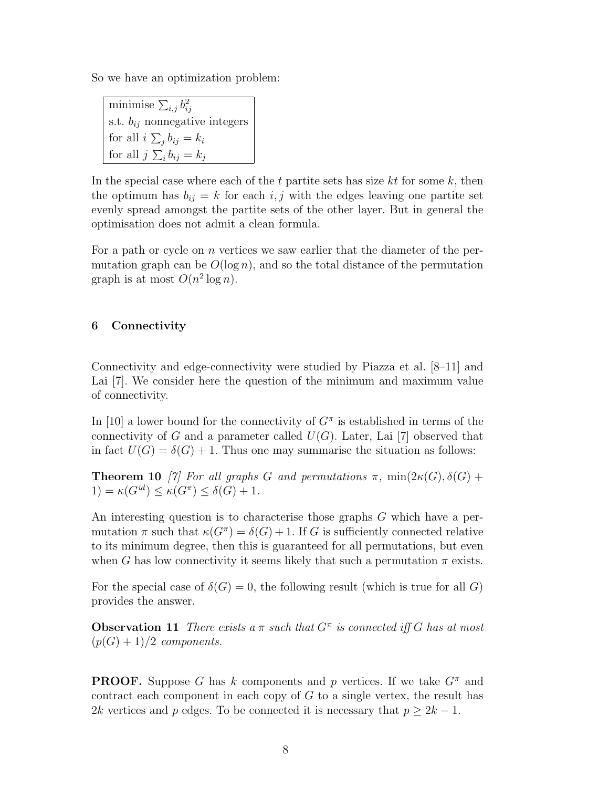So we have an optimization problem:

minimise  $\sum_{i,j} b_i^2$ ij s.t.  $b_{ij}$  nonnegative integers for all  $i \sum_j b_{ij} = k_i$ for all  $j \sum_i b_{ij} = k_j$ 

In the special case where each of the t partite sets has size  $kt$  for some  $k$ , then the optimum has  $b_{ij} = k$  for each i, j with the edges leaving one partite set evenly spread amongst the partite sets of the other layer. But in general the optimisation does not admit a clean formula.

For a path or cycle on n vertices we saw earlier that the diameter of the permutation graph can be  $O(\log n)$ , and so the total distance of the permutation graph is at most  $O(n^2 \log n)$ .

# 6 Connectivity

Connectivity and edge-connectivity were studied by Piazza et al. [8–11] and Lai [7]. We consider here the question of the minimum and maximum value of connectivity.

In [10] a lower bound for the connectivity of  $G^{\pi}$  is established in terms of the connectivity of G and a parameter called  $U(G)$ . Later, Lai [7] observed that in fact  $U(G) = \delta(G) + 1$ . Thus one may summarise the situation as follows:

**Theorem 10** [7] For all graphs G and permutations  $\pi$ , min $(2\kappa(G), \delta(G))$  $1) = \kappa(G^{id}) \leq \kappa(G^{\pi}) \leq \delta(G) + 1.$ 

An interesting question is to characterise those graphs G which have a permutation  $\pi$  such that  $\kappa(G^{\pi}) = \delta(G) + 1$ . If G is sufficiently connected relative to its minimum degree, then this is guaranteed for all permutations, but even when G has low connectivity it seems likely that such a permutation  $\pi$  exists.

For the special case of  $\delta(G) = 0$ , the following result (which is true for all G) provides the answer.

**Observation 11** There exists a  $\pi$  such that  $G^{\pi}$  is connected iff G has at most  $(p(G) + 1)/2$  components.

**PROOF.** Suppose G has k components and p vertices. If we take  $G^{\pi}$  and contract each component in each copy of  $G$  to a single vertex, the result has 2k vertices and p edges. To be connected it is necessary that  $p \geq 2k - 1$ .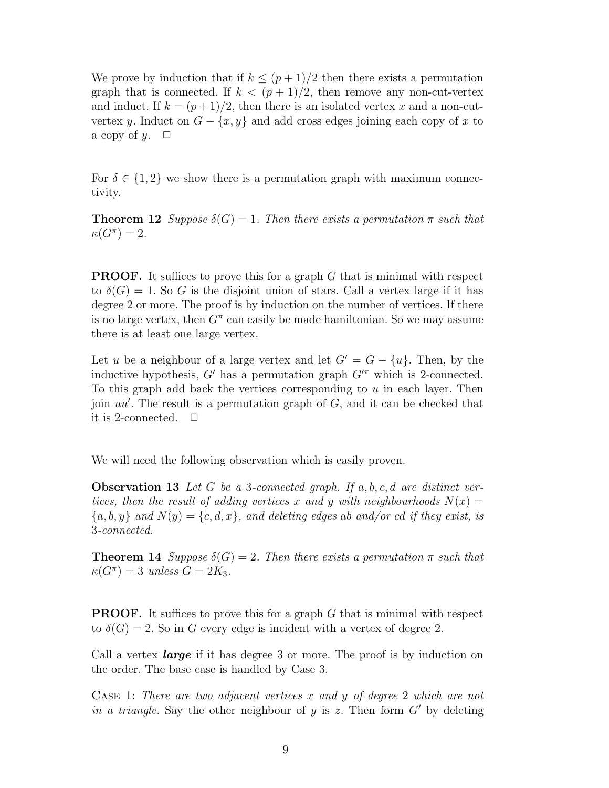We prove by induction that if  $k \leq (p+1)/2$  then there exists a permutation graph that is connected. If  $k < (p+1)/2$ , then remove any non-cut-vertex and induct. If  $k = (p+1)/2$ , then there is an isolated vertex x and a non-cutvertex y. Induct on  $G - \{x, y\}$  and add cross edges joining each copy of x to a copy of y.  $\Box$ 

For  $\delta \in \{1,2\}$  we show there is a permutation graph with maximum connectivity.

**Theorem 12** Suppose  $\delta(G) = 1$ . Then there exists a permutation  $\pi$  such that  $\kappa(G^{\pi})=2.$ 

**PROOF.** It suffices to prove this for a graph G that is minimal with respect to  $\delta(G) = 1$ . So G is the disjoint union of stars. Call a vertex large if it has degree 2 or more. The proof is by induction on the number of vertices. If there is no large vertex, then  $G^{\pi}$  can easily be made hamiltonian. So we may assume there is at least one large vertex.

Let u be a neighbour of a large vertex and let  $G' = G - \{u\}$ . Then, by the inductive hypothesis, G' has a permutation graph  $G<sup>7</sup>$  which is 2-connected. To this graph add back the vertices corresponding to  $u$  in each layer. Then join  $uu'$ . The result is a permutation graph of  $G$ , and it can be checked that it is 2-connected.  $\Box$ 

We will need the following observation which is easily proven.

**Observation 13** Let G be a 3-connected graph. If  $a, b, c, d$  are distinct vertices, then the result of adding vertices x and y with neighbourhoods  $N(x) =$  ${a, b, y}$  and  $N(y) = {c, d, x}$ , and deleting edges ab and/or cd if they exist, is 3-connected.

**Theorem 14** Suppose  $\delta(G) = 2$ . Then there exists a permutation  $\pi$  such that  $\kappa(G^{\pi}) = 3$  unless  $G = 2K_3$ .

**PROOF.** It suffices to prove this for a graph  $G$  that is minimal with respect to  $\delta(G) = 2$ . So in G every edge is incident with a vertex of degree 2.

Call a vertex **large** if it has degree 3 or more. The proof is by induction on the order. The base case is handled by Case 3.

CASE 1: There are two adjacent vertices  $x$  and  $y$  of degree 2 which are not in a triangle. Say the other neighbour of y is z. Then form  $G'$  by deleting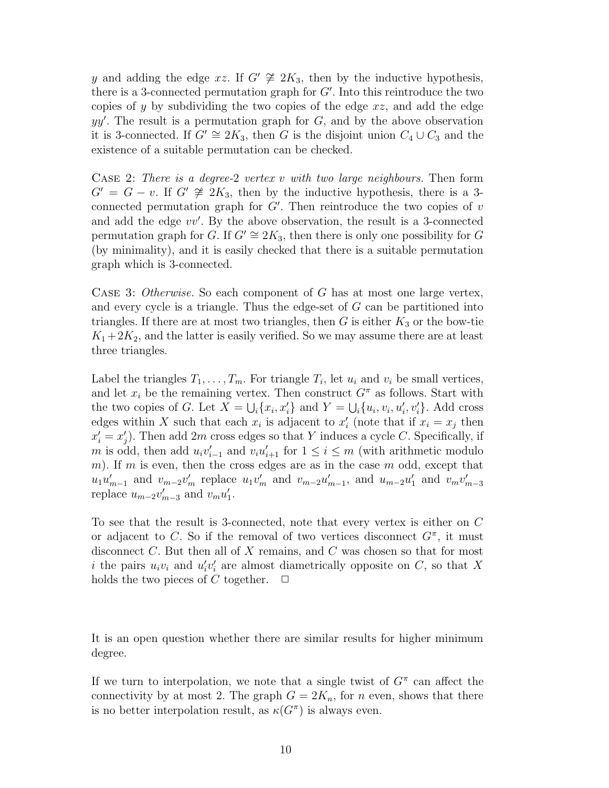y and adding the edge xz. If  $G' \not\cong 2K_3$ , then by the inductive hypothesis, there is a 3-connected permutation graph for  $G'$ . Into this reintroduce the two copies of y by subdividing the two copies of the edge  $xz$ , and add the edge  $yy'$ . The result is a permutation graph for  $G$ , and by the above observation it is 3-connected. If  $G' \cong 2K_3$ , then G is the disjoint union  $C_4 \cup C_3$  and the existence of a suitable permutation can be checked.

CASE 2: There is a degree-2 vertex v with two large neighbours. Then form  $G' = G - v$ . If  $G' \not\cong 2K_3$ , then by the inductive hypothesis, there is a 3connected permutation graph for  $G'$ . Then reintroduce the two copies of v and add the edge  $vv'$ . By the above observation, the result is a 3-connected permutation graph for G. If  $G' \cong 2K_3$ , then there is only one possibility for G (by minimality), and it is easily checked that there is a suitable permutation graph which is 3-connected.

CASE 3: Otherwise. So each component of  $G$  has at most one large vertex, and every cycle is a triangle. Thus the edge-set of G can be partitioned into triangles. If there are at most two triangles, then  $G$  is either  $K_3$  or the bow-tie  $K_1+2K_2$ , and the latter is easily verified. So we may assume there are at least three triangles.

Label the triangles  $T_1, \ldots, T_m$ . For triangle  $T_i$ , let  $u_i$  and  $v_i$  be small vertices, and let  $x_i$  be the remaining vertex. Then construct  $G^{\pi}$  as follows. Start with the two copies of G. Let  $\overline{X} = \bigcup_i \{x_i, x'_i\}$  and  $Y = \bigcup_i \{u_i, v_i, u'_i\}$  $i, v_i'$ . Add cross edges within X such that each  $x_i$  is adjacent to  $x_i'$  $i_i$  (note that if  $x_i = x_j$  then  $x'_i = x'_j$  $'_{j}$ ). Then add  $2m$  cross edges so that Y induces a cycle C. Specifically, if m is odd, then add  $u_i v'_{i-1}$  and  $v_i u'_{i+1}$  for  $1 \leq i \leq m$  (with arithmetic modulo m). If m is even, then the cross edges are as in the case  $m$  odd, except that  $u_1u'_{m-1}$  and  $v_{m-2}v'_{m}$  replace  $u_1v'_{m}$  and  $v_{m-2}u'_{m-1}$ , and  $u_{m-2}u'_{1}$  $v_1$  and  $v_m v'_{m-3}$ replace  $u_{m-2}v'_{m-3}$  and  $v_mu'_1$  $\frac{1}{1}$ .

To see that the result is 3-connected, note that every vertex is either on C or adjacent to C. So if the removal of two vertices disconnect  $G^{\pi}$ , it must disconnect  $C$ . But then all of  $X$  remains, and  $C$  was chosen so that for most i the pairs  $u_i v_i$  and  $u'_i$  $i'v_i'$  $i<sub>i</sub>$  are almost diametrically opposite on C, so that X holds the two pieces of C together.  $\Box$ 

It is an open question whether there are similar results for higher minimum degree.

If we turn to interpolation, we note that a single twist of  $G^{\pi}$  can affect the connectivity by at most 2. The graph  $G = 2K_n$ , for n even, shows that there is no better interpolation result, as  $\kappa(G^{\pi})$  is always even.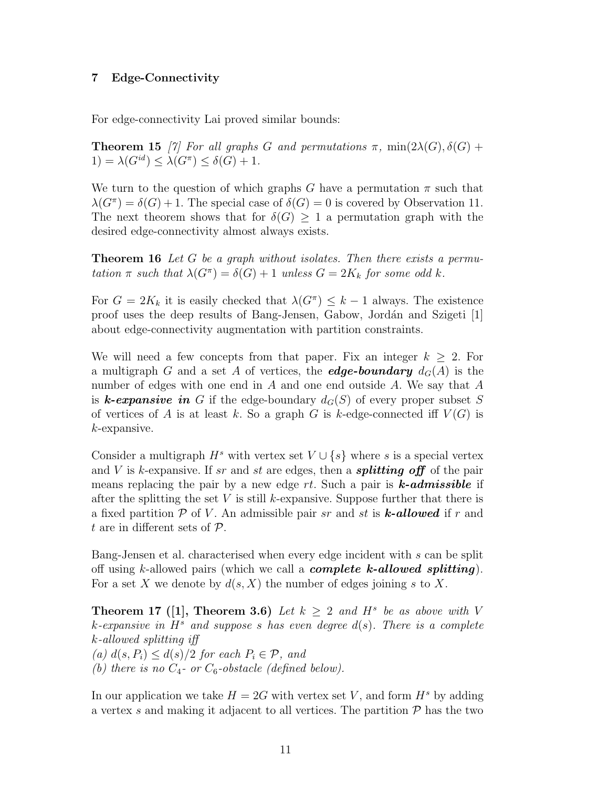# 7 Edge-Connectivity

For edge-connectivity Lai proved similar bounds:

**Theorem 15** [7] For all graphs G and permutations  $\pi$ , min $(2\lambda(G), \delta(G))$  $1) = \lambda(G^{id}) \leq \lambda(G^{\pi}) \leq \delta(G) + 1.$ 

We turn to the question of which graphs G have a permutation  $\pi$  such that  $\lambda(G^{\pi}) = \delta(G) + 1$ . The special case of  $\delta(G) = 0$  is covered by Observation 11. The next theorem shows that for  $\delta(G) \geq 1$  a permutation graph with the desired edge-connectivity almost always exists.

**Theorem 16** Let G be a graph without isolates. Then there exists a permutation  $\pi$  such that  $\lambda(G^{\pi}) = \delta(G) + 1$  unless  $G = 2K_k$  for some odd k.

For  $G = 2K_k$  it is easily checked that  $\lambda(G^{\pi}) \leq k-1$  always. The existence proof uses the deep results of Bang-Jensen, Gabow, Jordán and Szigeti [1] about edge-connectivity augmentation with partition constraints.

We will need a few concepts from that paper. Fix an integer  $k \geq 2$ . For a multigraph G and a set A of vertices, the **edge-boundary**  $d_G(A)$  is the number of edges with one end in  $A$  and one end outside  $A$ . We say that  $A$ is **k-expansive in** G if the edge-boundary  $d_G(S)$  of every proper subset S of vertices of A is at least k. So a graph G is k-edge-connected iff  $V(G)$  is k-expansive.

Consider a multigraph  $H^s$  with vertex set  $V \cup \{s\}$  where s is a special vertex and V is k-expansive. If sr and st are edges, then a **splitting off** of the pair means replacing the pair by a new edge  $rt$ . Such a pair is **k-admissible** if after the splitting the set V is still k-expansive. Suppose further that there is a fixed partition  $P$  of V. An admissible pair sr and st is **k-allowed** if r and t are in different sets of  $P$ .

Bang-Jensen et al. characterised when every edge incident with s can be split off using k-allowed pairs (which we call a *complete k-allowed splitting*). For a set X we denote by  $d(s, X)$  the number of edges joining s to X.

**Theorem 17** ([1], **Theorem 3.6**) Let  $k \geq 2$  and  $H^s$  be as above with V k-expansive in  $H^s$  and suppose s has even degree  $d(s)$ . There is a complete k-allowed splitting iff (a)  $d(s, P_i) \leq d(s)/2$  for each  $P_i \in \mathcal{P}$ , and

(b) there is no  $C_4$ - or  $C_6$ -obstacle (defined below).

In our application we take  $H = 2G$  with vertex set V, and form  $H^s$  by adding a vertex s and making it adjacent to all vertices. The partition  $P$  has the two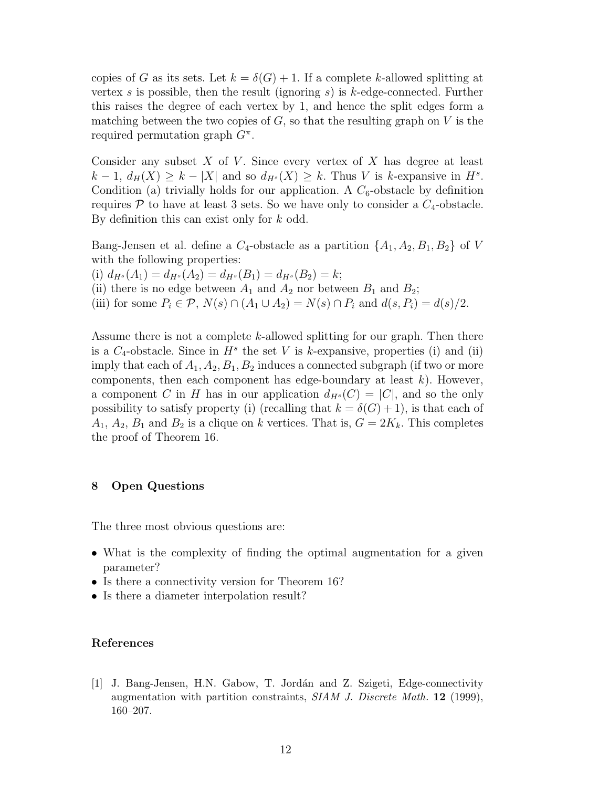copies of G as its sets. Let  $k = \delta(G) + 1$ . If a complete k-allowed splitting at vertex s is possible, then the result (ignoring  $s$ ) is  $k$ -edge-connected. Further this raises the degree of each vertex by 1, and hence the split edges form a matching between the two copies of  $G$ , so that the resulting graph on  $V$  is the required permutation graph  $G^{\pi}$ .

Consider any subset  $X$  of  $V$ . Since every vertex of  $X$  has degree at least  $k-1, d_H(X) \geq k - |X|$  and so  $d_{H^s}(X) \geq k$ . Thus V is k-expansive in  $H^s$ . Condition (a) trivially holds for our application. A  $C_6$ -obstacle by definition requires P to have at least 3 sets. So we have only to consider a  $C_4$ -obstacle. By definition this can exist only for k odd.

Bang-Jensen et al. define a  $C_4$ -obstacle as a partition  $\{A_1, A_2, B_1, B_2\}$  of V with the following properties:

(i)  $d_{H^s}(A_1) = d_{H^s}(A_2) = d_{H^s}(B_1) = d_{H^s}(B_2) = k;$ 

(ii) there is no edge between  $A_1$  and  $A_2$  nor between  $B_1$  and  $B_2$ ;

(iii) for some  $P_i \in \mathcal{P}, N(s) \cap (A_1 \cup A_2) = N(s) \cap P_i$  and  $d(s, P_i) = d(s)/2$ .

Assume there is not a complete  $k$ -allowed splitting for our graph. Then there is a  $C_4$ -obstacle. Since in  $H^s$  the set V is k-expansive, properties (i) and (ii) imply that each of  $A_1, A_2, B_1, B_2$  induces a connected subgraph (if two or more components, then each component has edge-boundary at least  $k$ ). However, a component C in H has in our application  $d_{H^s}(C) = |C|$ , and so the only possibility to satisfy property (i) (recalling that  $k = \delta(G) + 1$ ), is that each of  $A_1, A_2, B_1$  and  $B_2$  is a clique on k vertices. That is,  $G = 2K_k$ . This completes the proof of Theorem 16.

## 8 Open Questions

The three most obvious questions are:

- What is the complexity of finding the optimal augmentation for a given parameter?
- Is there a connectivity version for Theorem 16?
- Is there a diameter interpolation result?

#### References

[1] J. Bang-Jensen, H.N. Gabow, T. Jordán and Z. Szigeti, Edge-connectivity augmentation with partition constraints,  $SIAM$  J. Discrete Math. 12 (1999), 160–207.